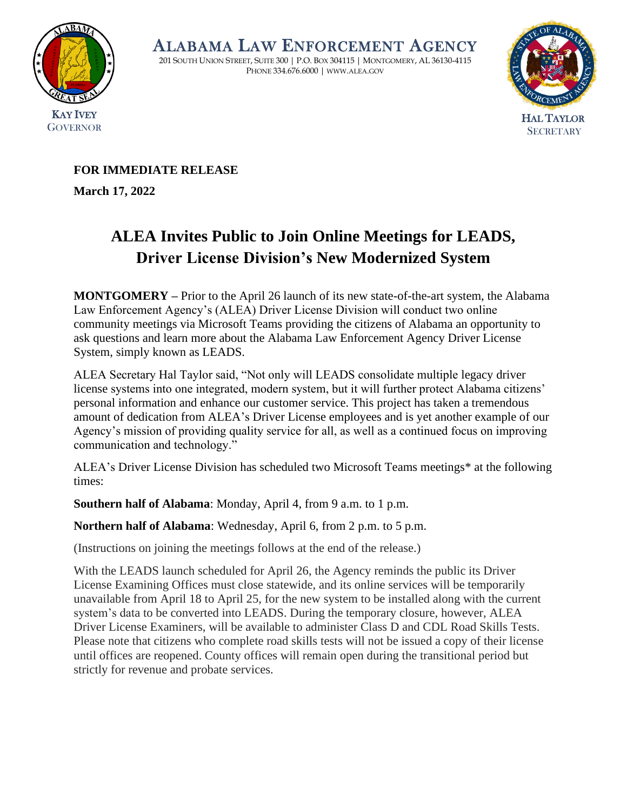

ALABAMA LAW ENFORCEMENT AGENCY

201 SOUTH UNION STREET, SUITE 300 | P.O. BOX 304115 | MONTGOMERY, AL 36130-4115 PHONE 334.676.6000 | WWW.ALEA.GOV



# **FOR IMMEDIATE RELEASE**

**March 17, 2022** 

# **ALEA Invites Public to Join Online Meetings for LEADS, Driver License Division's New Modernized System**

**MONTGOMERY –** Prior to the April 26 launch of its new state-of-the-art system, the Alabama Law Enforcement Agency's (ALEA) Driver License Division will conduct two online community meetings via Microsoft Teams providing the citizens of Alabama an opportunity to ask questions and learn more about the Alabama Law Enforcement Agency Driver License System, simply known as LEADS.

ALEA Secretary Hal Taylor said, "Not only will LEADS consolidate multiple legacy driver license systems into one integrated, modern system, but it will further protect Alabama citizens' personal information and enhance our customer service. This project has taken a tremendous amount of dedication from ALEA's Driver License employees and is yet another example of our Agency's mission of providing quality service for all, as well as a continued focus on improving communication and technology."

ALEA's Driver License Division has scheduled two Microsoft Teams meetings\* at the following times:

**Southern half of Alabama**: Monday, April 4, from 9 a.m. to 1 p.m.

**Northern half of Alabama**: Wednesday, April 6, from 2 p.m. to 5 p.m.

(Instructions on joining the meetings follows at the end of the release.)

With the LEADS launch scheduled for April 26, the Agency reminds the public its Driver License Examining Offices must close statewide, and its online services will be temporarily unavailable from April 18 to April 25, for the new system to be installed along with the current system's data to be converted into LEADS. During the temporary closure, however, ALEA Driver License Examiners, will be available to administer Class D and CDL Road Skills Tests. Please note that citizens who complete road skills tests will not be issued a copy of their license until offices are reopened. County offices will remain open during the transitional period but strictly for revenue and probate services.